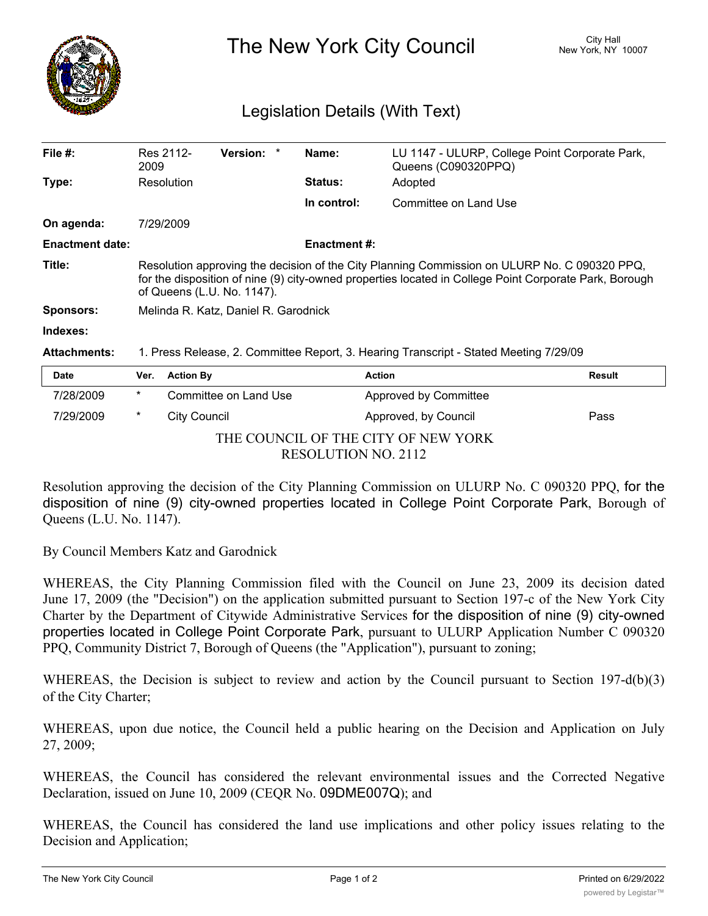

The New York City Council New York, NY 10007

## Legislation Details (With Text)

| File $#$ :             | Res 2112-<br>2009                                                                                                                                                                                                                    | <b>Version:</b><br>$\ast$ | Name:          | LU 1147 - ULURP, College Point Corporate Park,<br>Queens (C090320PPQ) |  |  |
|------------------------|--------------------------------------------------------------------------------------------------------------------------------------------------------------------------------------------------------------------------------------|---------------------------|----------------|-----------------------------------------------------------------------|--|--|
| Type:                  | Resolution                                                                                                                                                                                                                           |                           | <b>Status:</b> | Adopted                                                               |  |  |
|                        |                                                                                                                                                                                                                                      |                           | In control:    | Committee on Land Use                                                 |  |  |
| On agenda:             | 7/29/2009                                                                                                                                                                                                                            |                           |                |                                                                       |  |  |
| <b>Enactment date:</b> | <b>Enactment #:</b>                                                                                                                                                                                                                  |                           |                |                                                                       |  |  |
| Title:                 | Resolution approving the decision of the City Planning Commission on ULURP No. C 090320 PPQ,<br>for the disposition of nine (9) city-owned properties located in College Point Corporate Park, Borough<br>of Queens (L.U. No. 1147). |                           |                |                                                                       |  |  |
| <b>Sponsors:</b>       | Melinda R. Katz, Daniel R. Garodnick                                                                                                                                                                                                 |                           |                |                                                                       |  |  |
| Indexes:               |                                                                                                                                                                                                                                      |                           |                |                                                                       |  |  |
| <b>Attachments:</b>    | 1. Press Release, 2. Committee Report, 3. Hearing Transcript - Stated Meeting 7/29/09                                                                                                                                                |                           |                |                                                                       |  |  |
| <b>Date</b>            | <b>Action By</b><br>Ver.                                                                                                                                                                                                             |                           |                | <b>Action</b><br><b>Result</b>                                        |  |  |

| υaτe                |                                     | <b>Ver.</b> Action By | ACTION                | <b>Result</b> |  |  |
|---------------------|-------------------------------------|-----------------------|-----------------------|---------------|--|--|
| 7/28/2009           | $\ast$                              | Committee on Land Use | Approved by Committee |               |  |  |
| 7/29/2009           | *                                   | City Council          | Approved, by Council  | Pass          |  |  |
|                     | THE COUNCIL OF THE CITY OF NEW YORK |                       |                       |               |  |  |
| RESOLUTION NO. 2112 |                                     |                       |                       |               |  |  |

Resolution approving the decision of the City Planning Commission on ULURP No. C 090320 PPQ, for the disposition of nine (9) city-owned properties located in College Point Corporate Park, Borough of Queens (L.U. No. 1147).

By Council Members Katz and Garodnick

WHEREAS, the City Planning Commission filed with the Council on June 23, 2009 its decision dated June 17, 2009 (the "Decision") on the application submitted pursuant to Section 197-c of the New York City Charter by the Department of Citywide Administrative Services for the disposition of nine (9) city-owned properties located in College Point Corporate Park, pursuant to ULURP Application Number C 090320 PPQ, Community District 7, Borough of Queens (the "Application"), pursuant to zoning;

WHEREAS, the Decision is subject to review and action by the Council pursuant to Section 197-d(b)(3) of the City Charter;

WHEREAS, upon due notice, the Council held a public hearing on the Decision and Application on July 27, 2009;

WHEREAS, the Council has considered the relevant environmental issues and the Corrected Negative Declaration, issued on June 10, 2009 (CEQR No. 09DME007Q); and

WHEREAS, the Council has considered the land use implications and other policy issues relating to the Decision and Application;